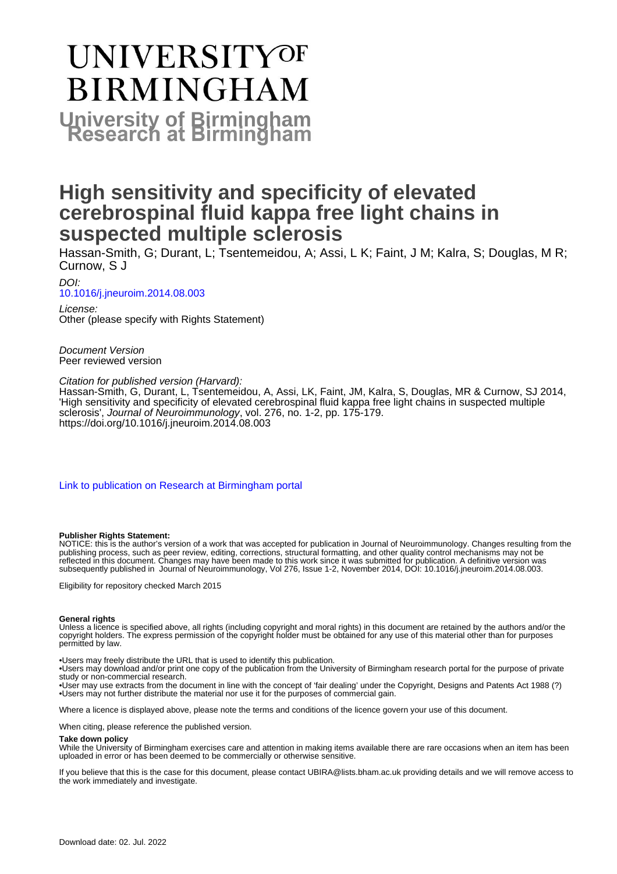# UNIVERSITYOF **BIRMINGHAM University of Birmingham**

# **High sensitivity and specificity of elevated cerebrospinal fluid kappa free light chains in suspected multiple sclerosis**

Hassan-Smith, G; Durant, L; Tsentemeidou, A; Assi, L K; Faint, J M; Kalra, S; Douglas, M R; Curnow, S J

DOI: [10.1016/j.jneuroim.2014.08.003](https://doi.org/10.1016/j.jneuroim.2014.08.003)

License: Other (please specify with Rights Statement)

Document Version Peer reviewed version

Citation for published version (Harvard):

Hassan-Smith, G, Durant, L, Tsentemeidou, A, Assi, LK, Faint, JM, Kalra, S, Douglas, MR & Curnow, SJ 2014, 'High sensitivity and specificity of elevated cerebrospinal fluid kappa free light chains in suspected multiple sclerosis', Journal of Neuroimmunology, vol. 276, no. 1-2, pp. 175-179. <https://doi.org/10.1016/j.jneuroim.2014.08.003>

[Link to publication on Research at Birmingham portal](https://birmingham.elsevierpure.com/en/publications/c027a331-6049-455c-85d8-bab24db9b626)

#### **Publisher Rights Statement:**

NOTICE: this is the author's version of a work that was accepted for publication in Journal of Neuroimmunology. Changes resulting from the publishing process, such as peer review, editing, corrections, structural formatting, and other quality control mechanisms may not be reflected in this document. Changes may have been made to this work since it was submitted for publication. A definitive version was subsequently published in Journal of Neuroimmunology, Vol 276, Issue 1-2, November 2014, DOI: 10.1016/j.jneuroim.2014.08.003.

Eligibility for repository checked March 2015

#### **General rights**

Unless a licence is specified above, all rights (including copyright and moral rights) in this document are retained by the authors and/or the copyright holders. The express permission of the copyright holder must be obtained for any use of this material other than for purposes permitted by law.

• Users may freely distribute the URL that is used to identify this publication.

• Users may download and/or print one copy of the publication from the University of Birmingham research portal for the purpose of private study or non-commercial research.

• User may use extracts from the document in line with the concept of 'fair dealing' under the Copyright, Designs and Patents Act 1988 (?) • Users may not further distribute the material nor use it for the purposes of commercial gain.

Where a licence is displayed above, please note the terms and conditions of the licence govern your use of this document.

When citing, please reference the published version.

#### **Take down policy**

While the University of Birmingham exercises care and attention in making items available there are rare occasions when an item has been uploaded in error or has been deemed to be commercially or otherwise sensitive.

If you believe that this is the case for this document, please contact UBIRA@lists.bham.ac.uk providing details and we will remove access to the work immediately and investigate.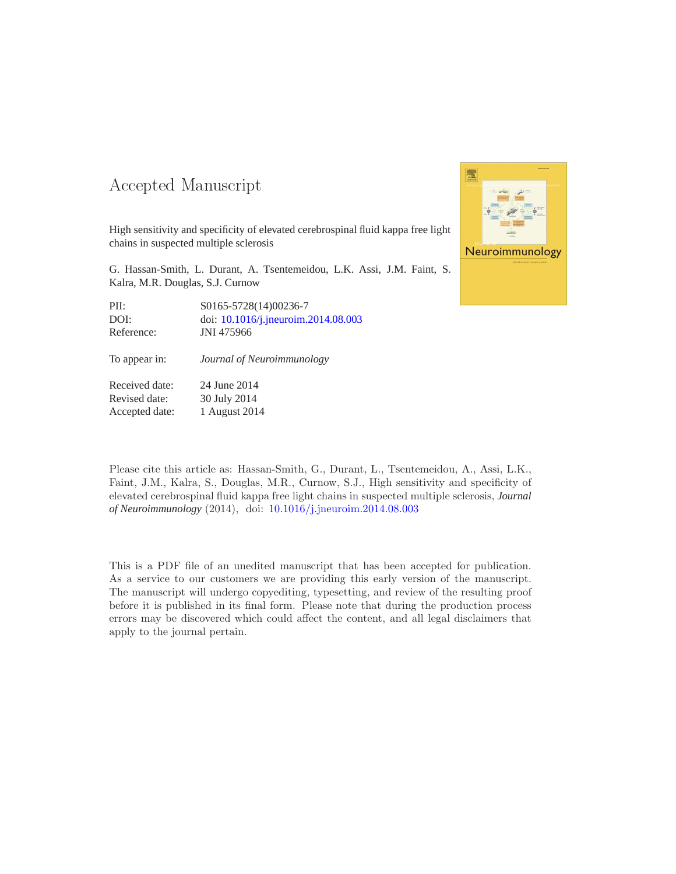#### -- -

High sensitivity and specificity of elevated cerebrospinal fluid kappa free light chains in suspected multiple sclerosis

G. Hassan-Smith, L. Durant, A. Tsentemeidou, L.K. Assi, J.M. Faint, S. Kalra, M.R. Douglas, S.J. Curnow

| PII:       | S0165-5728(14)00236-7               |
|------------|-------------------------------------|
| DOI:       | doi: 10.1016/j.jneuroim.2014.08.003 |
| Reference: | JNI 475966                          |

To appear in: *Journal of Neuroimmunology*

Received date: 24 June 2014 Revised date: 30 July 2014 Accepted date: 1 August 2014



Please cite this article as: Hassan-Smith, G., Durant, L., Tsentemeidou, A., Assi, L.K., Faint, J.M., Kalra, S., Douglas, M.R., Curnow, S.J., High sensitivity and specificity of elevated cerebrospinal fluid kappa free light chains in suspected multiple sclerosis, *Journal of Neuroimmunology* (2014), doi: [10.1016/j.jneuroim.2014.08.003](http://dx.doi.org/10.1016/j.jneuroim.2014.08.003)

This is a PDF file of an unedited manuscript that has been accepted for publication. As a service to our customers we are providing this early version of the manuscript. The manuscript will undergo copyediting, typesetting, and review of the resulting proof before it is published in its final form. Please note that during the production process errors may be discovered which could affect the content, and all legal disclaimers that apply to the journal pertain.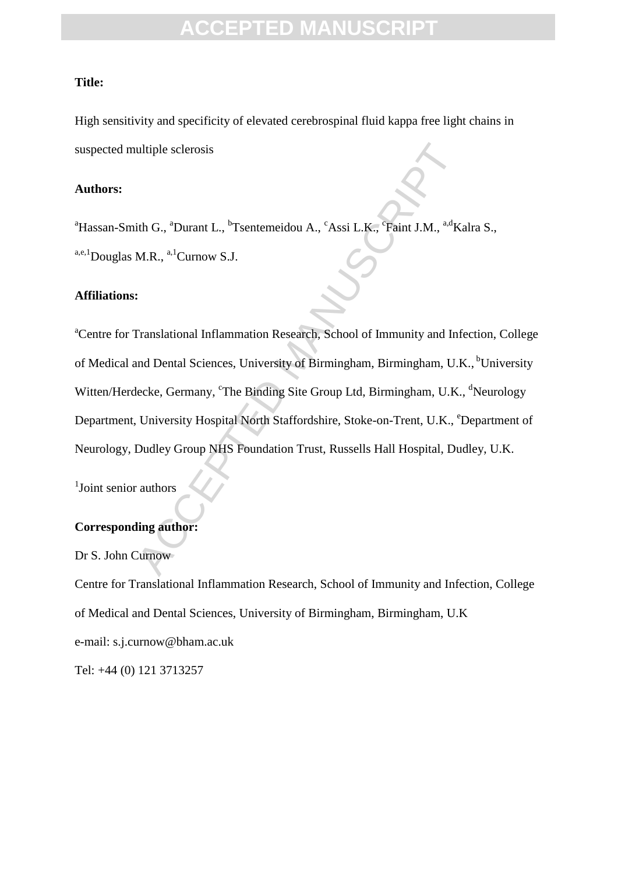#### **Title:**

High sensitivity and specificity of elevated cerebrospinal fluid kappa free light chains in suspected multiple sclerosis

#### **Authors:**

<sup>a</sup>Hassan-Smith G., <sup>a</sup>Durant L., <sup>b</sup>Tsentemeidou A., <sup>c</sup>Assi L.K., <sup>c</sup>Faint J.M., <sup>a,d</sup>Kalra S.,  $a,e,1}$ Douglas M.R.,  $a,1$ Curnow S.J.

#### **Affiliations:**

ultiple sclerosis<br>
ith G., <sup>a</sup>Durant L., <sup>b</sup>Tsentemeidou A., <sup>c</sup>Assi L.K., <sup>c</sup>Faint J.M., <sup>a.d</sup>Ki<br>
M.R., <sup>a.1</sup>Curnow S.J.<br>
:<br>
Translational Inflammation Research, School of Immunity and Inf<br>
ind Dental Sciences, University <sup>a</sup>Centre for Translational Inflammation Research, School of Immunity and Infection, College of Medical and Dental Sciences, University of Birmingham, Birmingham, U.K., <sup>b</sup>University Witten/Herdecke, Germany, <sup>c</sup>The Binding Site Group Ltd, Birmingham, U.K., <sup>d</sup>Neurology Department, University Hospital North Staffordshire, Stoke-on-Trent, U.K., <sup>e</sup>Department of Neurology, Dudley Group NHS Foundation Trust, Russells Hall Hospital, Dudley, U.K.

<sup>1</sup>Joint senior authors

#### **Corresponding author:**

Dr S. John Curnow

Centre for Translational Inflammation Research, School of Immunity and Infection, College of Medical and Dental Sciences, University of Birmingham, Birmingham, U.K e-mail: s.j.curnow@bham.ac.uk Tel: +44 (0) 121 3713257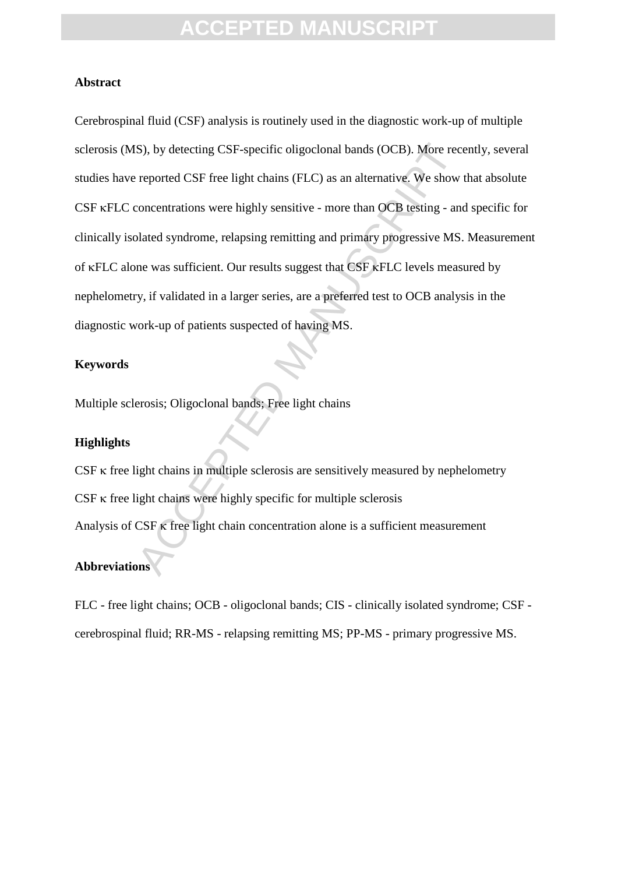#### **Abstract**

S), by detecting CSF-specific oligoclonal bands (OCB). More recorreported CSF free light chains (FLC) as an alternative. We show concentrations were highly sensitive - more than OCB testing - and balaed syndrome, relapsing Cerebrospinal fluid (CSF) analysis is routinely used in the diagnostic work-up of multiple sclerosis (MS), by detecting CSF-specific oligoclonal bands (OCB). More recently, several studies have reported CSF free light chains (FLC) as an alternative. We show that absolute CSF  $\kappa$ FLC concentrations were highly sensitive - more than OCB testing - and specific for clinically isolated syndrome, relapsing remitting and primary progressive MS. Measurement of  $\kappa$ FLC alone was sufficient. Our results suggest that CSF  $\kappa$ FLC levels measured by nephelometry, if validated in a larger series, are a preferred test to OCB analysis in the diagnostic work-up of patients suspected of having MS.

#### **Keywords**

Multiple sclerosis; Oligoclonal bands; Free light chains

#### **Highlights**

 $CSF \kappa$  free light chains in multiple sclerosis are sensitively measured by nephelometry  $CSF \kappa$  free light chains were highly specific for multiple sclerosis Analysis of  $CSF$   $\kappa$  free light chain concentration alone is a sufficient measurement

#### **Abbreviations**

FLC - free light chains; OCB - oligoclonal bands; CIS - clinically isolated syndrome; CSF cerebrospinal fluid; RR-MS - relapsing remitting MS; PP-MS - primary progressive MS.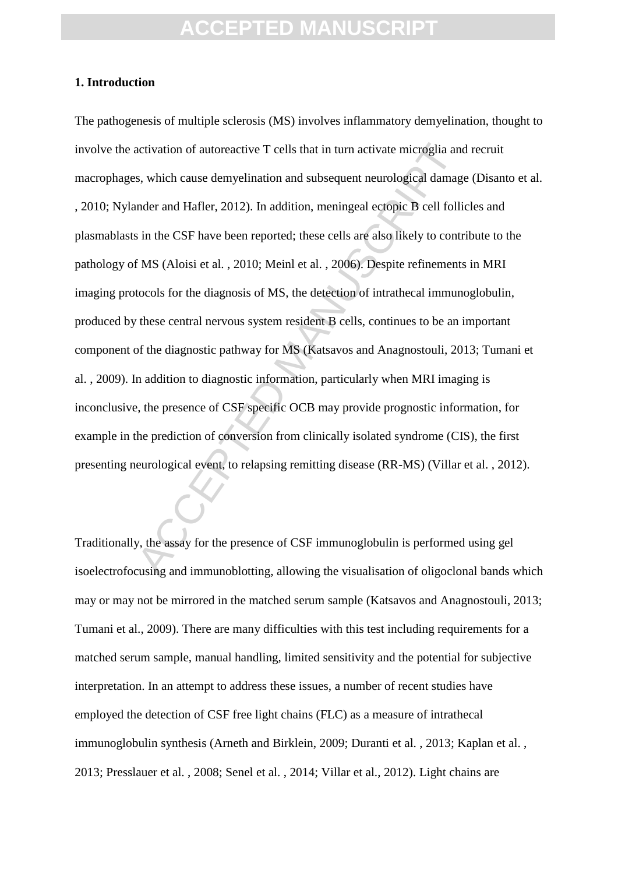#### **1. Introduction**

activation of autoreactive T cells that in turn activate microglia and<br>s, which cause demyelination and subsequent neurological damag<br>nder and Hafler, 2012). In addition, meningeal ectopic B cell folli<br>s in the CSF have be The pathogenesis of multiple sclerosis (MS) involves inflammatory demyelination, thought to involve the activation of autoreactive T cells that in turn activate microglia and recruit macrophages, which cause demyelination and subsequent neurological damage (Disanto et al. , 2010; Nylander and Hafler, 2012). In addition, meningeal ectopic B cell follicles and plasmablasts in the CSF have been reported; these cells are also likely to contribute to the pathology of MS (Aloisi et al. , 2010; Meinl et al. , 2006). Despite refinements in MRI imaging protocols for the diagnosis of MS, the detection of intrathecal immunoglobulin, produced by these central nervous system resident B cells, continues to be an important component of the diagnostic pathway for MS (Katsavos and Anagnostouli, 2013; Tumani et al. , 2009). In addition to diagnostic information, particularly when MRI imaging is inconclusive, the presence of CSF specific OCB may provide prognostic information, for example in the prediction of conversion from clinically isolated syndrome (CIS), the first presenting neurological event, to relapsing remitting disease (RR-MS) (Villar et al. , 2012).

Traditionally, the assay for the presence of CSF immunoglobulin is performed using gel isoelectrofocusing and immunoblotting, allowing the visualisation of oligoclonal bands which may or may not be mirrored in the matched serum sample (Katsavos and Anagnostouli, 2013; Tumani et al., 2009). There are many difficulties with this test including requirements for a matched serum sample, manual handling, limited sensitivity and the potential for subjective interpretation. In an attempt to address these issues, a number of recent studies have employed the detection of CSF free light chains (FLC) as a measure of intrathecal immunoglobulin synthesis (Arneth and Birklein, 2009; Duranti et al. , 2013; Kaplan et al. , 2013; Presslauer et al. , 2008; Senel et al. , 2014; Villar et al., 2012). Light chains are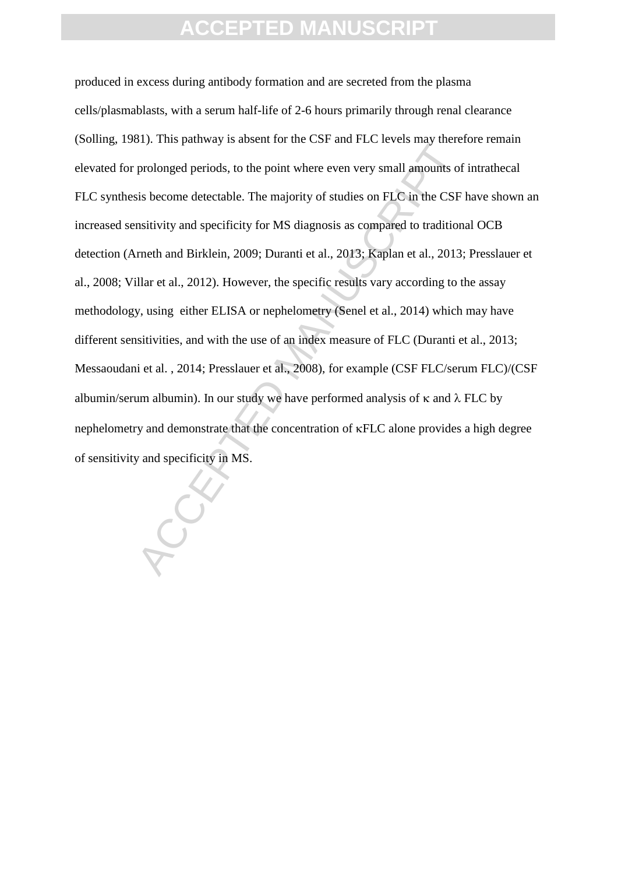Experimentation of the Cartalanta Carta Carta Carta Carta Carta Carta Carta Carta Carta Carta Carta Carta Carta Carta Carta Carta Carta Carta Carta Carta Carta Carta Carta Carta Carta Carta Carta Carta Carta Carta Carta C produced in excess during antibody formation and are secreted from the plasma cells/plasmablasts, with a serum half-life of 2-6 hours primarily through renal clearance (Solling, 1981). This pathway is absent for the CSF and FLC levels may therefore remain elevated for prolonged periods, to the point where even very small amounts of intrathecal FLC synthesis become detectable. The majority of studies on FLC in the CSF have shown an increased sensitivity and specificity for MS diagnosis as compared to traditional OCB detection (Arneth and Birklein, 2009; Duranti et al., 2013; Kaplan et al., 2013; Presslauer et al., 2008; Villar et al., 2012). However, the specific results vary according to the assay methodology, using either ELISA or nephelometry (Senel et al., 2014) which may have different sensitivities, and with the use of an index measure of FLC (Duranti et al., 2013; Messaoudani et al. , 2014; Presslauer et al., 2008), for example (CSF FLC/serum FLC)/(CSF albumin/serum albumin). In our study we have performed analysis of  $\kappa$  and  $\lambda$  FLC by nephelometry and demonstrate that the concentration of  $\kappa FLC$  alone provides a high degree of sensitivity and specificity in MS.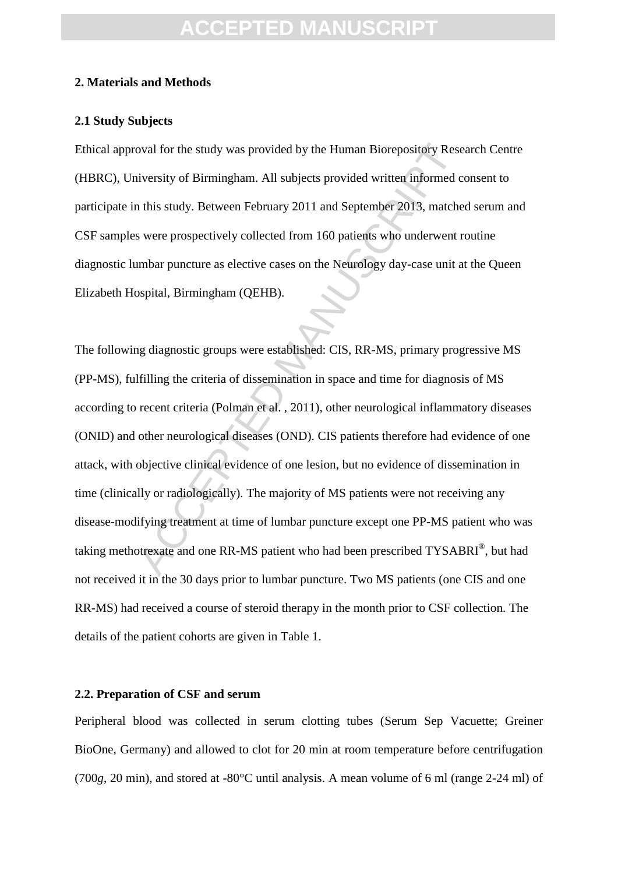#### **2. Materials and Methods**

#### **2.1 Study Subjects**

Ethical approval for the study was provided by the Human Biorepository Research Centre (HBRC), University of Birmingham. All subjects provided written informed consent to participate in this study. Between February 2011 and September 2013, matched serum and CSF samples were prospectively collected from 160 patients who underwent routine diagnostic lumbar puncture as elective cases on the Neurology day-case unit at the Queen Elizabeth Hospital, Birmingham (QEHB).

oval for the study was provided by the Human Biorepository Reserviversity of Birmingham. All subjects provided written informed c in this study. Between February 2011 and September 2013, matches were prospectively collecte The following diagnostic groups were established: CIS, RR-MS, primary progressive MS (PP-MS), fulfilling the criteria of dissemination in space and time for diagnosis of MS according to recent criteria (Polman et al. , 2011), other neurological inflammatory diseases (ONID) and other neurological diseases (OND). CIS patients therefore had evidence of one attack, with objective clinical evidence of one lesion, but no evidence of dissemination in time (clinically or radiologically). The majority of MS patients were not receiving any disease-modifying treatment at time of lumbar puncture except one PP-MS patient who was taking methotrexate and one RR-MS patient who had been prescribed TYSABRI®, but had not received it in the 30 days prior to lumbar puncture. Two MS patients (one CIS and one RR-MS) had received a course of steroid therapy in the month prior to CSF collection. The details of the patient cohorts are given in Table 1.

#### **2.2. Preparation of CSF and serum**

Peripheral blood was collected in serum clotting tubes (Serum Sep Vacuette; Greiner BioOne, Germany) and allowed to clot for 20 min at room temperature before centrifugation (700*g*, 20 min), and stored at -80°C until analysis. A mean volume of 6 ml (range 2-24 ml) of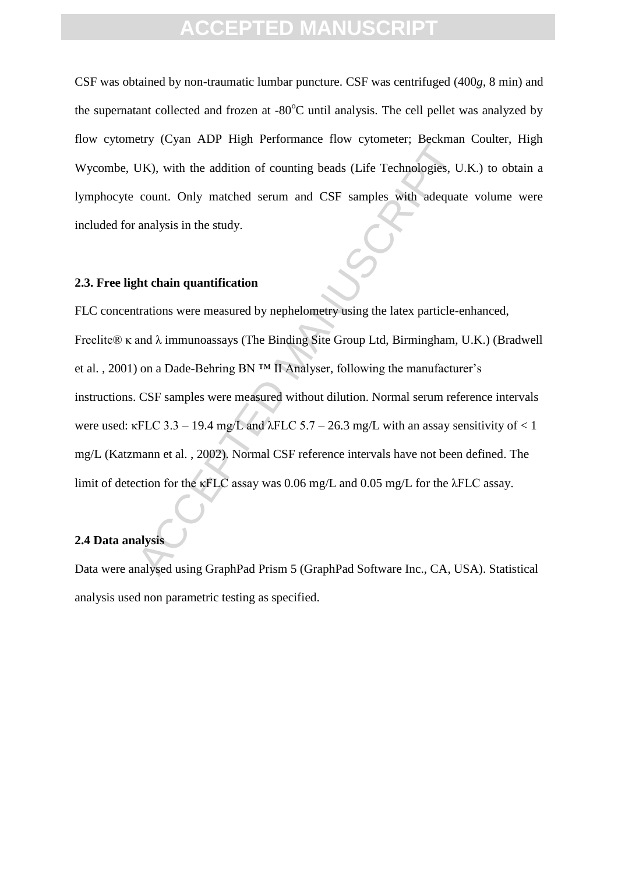CSF was obtained by non-traumatic lumbar puncture. CSF was centrifuged (400*g*, 8 min) and the supernatant collected and frozen at  $-80^{\circ}$ C until analysis. The cell pellet was analyzed by flow cytometry (Cyan ADP High Performance flow cytometer; Beckman Coulter, High Wycombe, UK), with the addition of counting beads (Life Technologies, U.K.) to obtain a lymphocyte count. Only matched serum and CSF samples with adequate volume were included for analysis in the study.

#### **2.3. Free light chain quantification**

Cystal TD1 Tight Performance Tow Cylonice, Ecclaminated TCK, Secretation of counting beads (Life Technologies, U<br>count. Only matched serum and CSF samples with adequat<br>analysis in the study.<br>
Ant chain quantification<br>
tra FLC concentrations were measured by nephelometry using the latex particle-enhanced, Freelite® κ and λ immunoassays (The Binding Site Group Ltd, Birmingham, U.K.) (Bradwell et al., 2001) on a Dade-Behring BN  $TM$  II Analyser, following the manufacturer's instructions. CSF samples were measured without dilution. Normal serum reference intervals were used:  $\kappa$ FLC 3.3 – 19.4 mg/L and  $\lambda$ FLC 5.7 – 26.3 mg/L with an assay sensitivity of < 1 mg/L (Katzmann et al. , 2002). Normal CSF reference intervals have not been defined. The limit of detection for the κFLC assay was 0.06 mg/L and 0.05 mg/L for the λFLC assay.

#### **2.4 Data analysis**

Data were analysed using GraphPad Prism 5 (GraphPad Software Inc., CA, USA). Statistical analysis used non parametric testing as specified.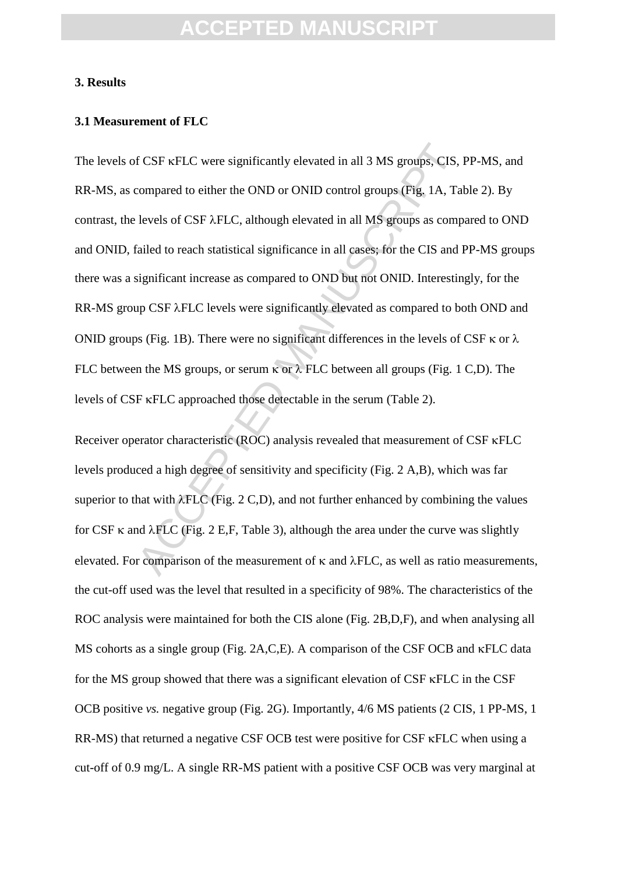#### **3. Results**

#### **3.1 Measurement of FLC**

f CSF  $\kappa$ FLC were significantly elevated in all 3 MS groups, CIS, compared to either the OND or ONID control groups (Fig. 1A, Ta levels of CSF  $\lambda$ FLC, although elevated in all MS groups as compared to reach statistical The levels of CSF  $\kappa$ FLC were significantly elevated in all 3 MS groups, CIS, PP-MS, and RR-MS, as compared to either the OND or ONID control groups (Fig. 1A, Table 2). By contrast, the levels of CSF  $\lambda$ FLC, although elevated in all MS groups as compared to OND and ONID, failed to reach statistical significance in all cases; for the CIS and PP-MS groups there was a significant increase as compared to OND but not ONID. Interestingly, for the RR-MS group CSF  $\lambda$ FLC levels were significantly elevated as compared to both OND and ONID groups (Fig. 1B). There were no significant differences in the levels of CSF  $\kappa$  or  $\lambda$ FLC between the MS groups, or serum  $\kappa$  or  $\lambda$  FLC between all groups (Fig. 1 C,D). The levels of CSF  $\kappa$ FLC approached those detectable in the serum (Table 2).

Receiver operator characteristic (ROC) analysis revealed that measurement of  $CSF$   $\kappa$ FLC levels produced a high degree of sensitivity and specificity (Fig. 2 A,B), which was far superior to that with  $\lambda FLC$  (Fig. 2 C,D), and not further enhanced by combining the values for CSF  $\kappa$  and  $\lambda$ FLC (Fig. 2 E,F, Table 3), although the area under the curve was slightly elevated. For comparison of the measurement of  $\kappa$  and  $\lambda$ FLC, as well as ratio measurements, the cut-off used was the level that resulted in a specificity of 98%. The characteristics of the ROC analysis were maintained for both the CIS alone (Fig. 2B,D,F), and when analysing all MS cohorts as a single group (Fig. 2A, C, E). A comparison of the CSF OCB and  $\kappa$ FLC data for the MS group showed that there was a significant elevation of  $CSF$   $\kappa FLC$  in the  $CSF$ OCB positive *vs.* negative group (Fig. 2G). Importantly, 4/6 MS patients (2 CIS, 1 PP-MS, 1 RR-MS) that returned a negative CSF OCB test were positive for CSF  $\kappa$ FLC when using a cut-off of 0.9 mg/L. A single RR-MS patient with a positive CSF OCB was very marginal at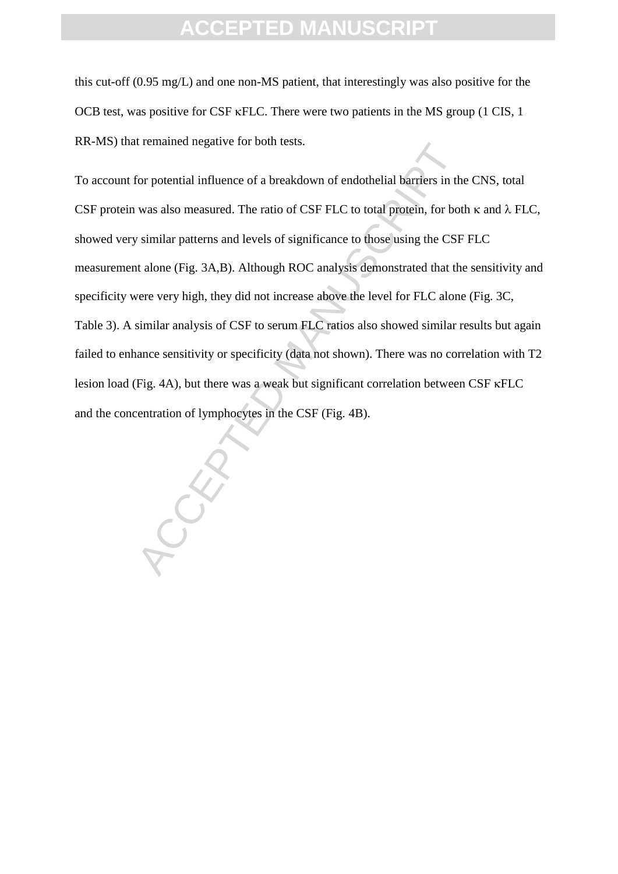this cut-off (0.95 mg/L) and one non-MS patient, that interestingly was also positive for the OCB test, was positive for CSF  $\kappa$ FLC. There were two patients in the MS group (1 CIS, 1 RR-MS) that remained negative for both tests.

Fernance diegative for boothesis.<br>
for potential influence of a breakdown of endothelial barriers in th<br>
was also measured. The ratio of CSF FLC to total protein, for bot<br>
similar patterns and levels of significance to tho To account for potential influence of a breakdown of endothelial barriers in the CNS, total CSF protein was also measured. The ratio of CSF FLC to total protein, for both  $\kappa$  and  $\lambda$  FLC, showed very similar patterns and levels of significance to those using the CSF FLC measurement alone (Fig. 3A,B). Although ROC analysis demonstrated that the sensitivity and specificity were very high, they did not increase above the level for FLC alone (Fig. 3C, Table 3). A similar analysis of CSF to serum FLC ratios also showed similar results but again failed to enhance sensitivity or specificity (data not shown). There was no correlation with T2 lesion load (Fig. 4A), but there was a weak but significant correlation between CSF  $\kappa$ FLC and the concentration of lymphocytes in the CSF (Fig. 4B).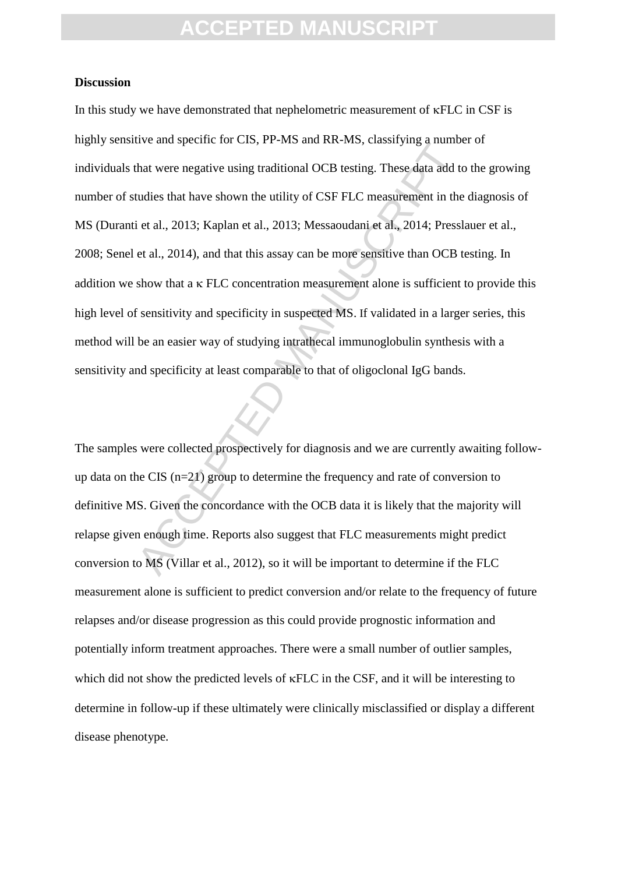#### **Discussion**

The and specific for end, 11 and also that the mass of the mass of the mass of the mass of the mass of the mass of the mass of the traditional OCB testing. These data add to tudies that have shown the utility of CSF FLC m In this study we have demonstrated that nephelometric measurement of  $\kappa FLC$  in CSF is highly sensitive and specific for CIS, PP-MS and RR-MS, classifying a number of individuals that were negative using traditional OCB testing. These data add to the growing number of studies that have shown the utility of CSF FLC measurement in the diagnosis of MS (Duranti et al., 2013; Kaplan et al., 2013; Messaoudani et al., 2014; Presslauer et al., 2008; Senel et al., 2014), and that this assay can be more sensitive than OCB testing. In addition we show that a  $\kappa$  FLC concentration measurement alone is sufficient to provide this high level of sensitivity and specificity in suspected MS. If validated in a larger series, this method will be an easier way of studying intrathecal immunoglobulin synthesis with a sensitivity and specificity at least comparable to that of oligoclonal IgG bands.

The samples were collected prospectively for diagnosis and we are currently awaiting followup data on the CIS (n=21) group to determine the frequency and rate of conversion to definitive MS. Given the concordance with the OCB data it is likely that the majority will relapse given enough time. Reports also suggest that FLC measurements might predict conversion to MS (Villar et al., 2012), so it will be important to determine if the FLC measurement alone is sufficient to predict conversion and/or relate to the frequency of future relapses and/or disease progression as this could provide prognostic information and potentially inform treatment approaches. There were a small number of outlier samples, which did not show the predicted levels of  $\kappa$ FLC in the CSF, and it will be interesting to determine in follow-up if these ultimately were clinically misclassified or display a different disease phenotype.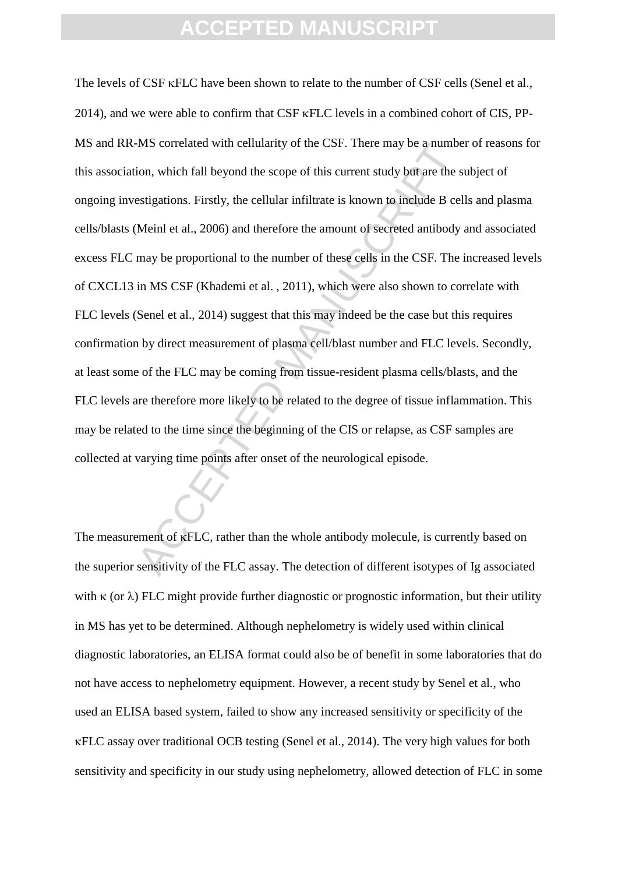AS correlated with cellularity of the CSF. There may be a numbe<br>ion, which fall beyond the scope of this current study but are the sestigations. Firstly, the cellular infiltrate is known to include B cel<br>Meinl et al., 2006 The levels of CSF  $\kappa$ FLC have been shown to relate to the number of CSF cells (Senel et al.,  $2014$ ), and we were able to confirm that CSF  $\kappa$ FLC levels in a combined cohort of CIS, PP-MS and RR-MS correlated with cellularity of the CSF. There may be a number of reasons for this association, which fall beyond the scope of this current study but are the subject of ongoing investigations. Firstly, the cellular infiltrate is known to include B cells and plasma cells/blasts (Meinl et al., 2006) and therefore the amount of secreted antibody and associated excess FLC may be proportional to the number of these cells in the CSF. The increased levels of CXCL13 in MS CSF (Khademi et al. , 2011), which were also shown to correlate with FLC levels (Senel et al., 2014) suggest that this may indeed be the case but this requires confirmation by direct measurement of plasma cell/blast number and FLC levels. Secondly, at least some of the FLC may be coming from tissue-resident plasma cells/blasts, and the FLC levels are therefore more likely to be related to the degree of tissue inflammation. This may be related to the time since the beginning of the CIS or relapse, as CSF samples are collected at varying time points after onset of the neurological episode.

The measurement of  $\kappa$ FLC, rather than the whole antibody molecule, is currently based on the superior sensitivity of the FLC assay. The detection of different isotypes of Ig associated with  $\kappa$  (or  $\lambda$ ) FLC might provide further diagnostic or prognostic information, but their utility in MS has yet to be determined. Although nephelometry is widely used within clinical diagnostic laboratories, an ELISA format could also be of benefit in some laboratories that do not have access to nephelometry equipment. However, a recent study by Senel et al., who used an ELISA based system, failed to show any increased sensitivity or specificity of the FLC assay over traditional OCB testing (Senel et al., 2014). The very high values for both sensitivity and specificity in our study using nephelometry, allowed detection of FLC in some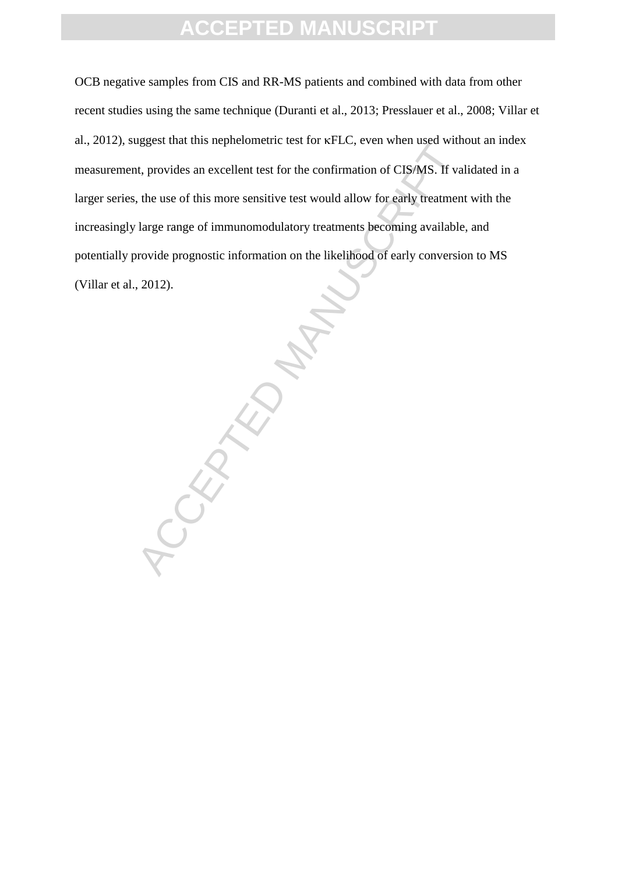OCB negative samples from CIS and RR-MS patients and combined with data from other recent studies using the same technique (Duranti et al., 2013; Presslauer et al., 2008; Villar et al., 2012), suggest that this nephelometric test for  $\kappa FLC$ , even when used without an index measurement, provides an excellent test for the confirmation of CIS/MS. If validated in a larger series, the use of this more sensitive test would allow for early treatment with the increasingly large range of immunomodulatory treatments becoming available, and potentially provide prognostic information on the likelihood of early conversion to MS (Villar et al., 2012).

TOCKPAND M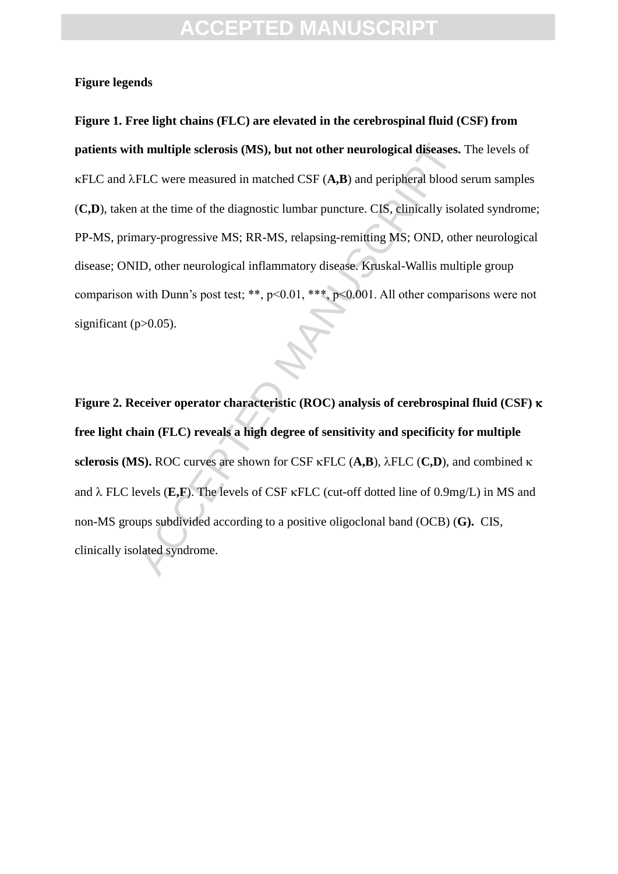#### **Figure legends**

th multiple sclerosis (MS), but not other neurological diseases.<br>FLC were measured in matched CSF (A,B) and peripheral blood s<br>at the time of the diagnostic lumbar puncture. CIS, clinically isol<br>nary-progressive MS; RR-MS **Figure 1. Free light chains (FLC) are elevated in the cerebrospinal fluid (CSF) from patients with multiple sclerosis (MS), but not other neurological diseases.** The levels of  $\kappa$ FLC and  $\lambda$ FLC were measured in matched CSF ( $\mathbf{A}$ , $\mathbf{B}$ ) and peripheral blood serum samples (**C,D**), taken at the time of the diagnostic lumbar puncture. CIS, clinically isolated syndrome; PP-MS, primary-progressive MS; RR-MS, relapsing-remitting MS; OND, other neurological disease; ONID, other neurological inflammatory disease. Kruskal-Wallis multiple group comparison with Dunn's post test; \*\*, p<0.01, \*\*\*, p<0.001. All other comparisons were not significant  $(p>0.05)$ .

**Figure 2. Receiver operator characteristic (ROC) analysis of cerebrospinal fluid (CSF) free light chain (FLC) reveals a high degree of sensitivity and specificity for multiple sclerosis (MS).** ROC curves are shown for CSF  $\kappa$ FLC (**A,B**),  $\lambda$ FLC (**C,D**), and combined  $\kappa$ and  $\lambda$  FLC levels (**E,F**). The levels of CSF  $\kappa$ FLC (cut-off dotted line of 0.9mg/L) in MS and non-MS groups subdivided according to a positive oligoclonal band (OCB) (**G).** CIS, clinically isolated syndrome.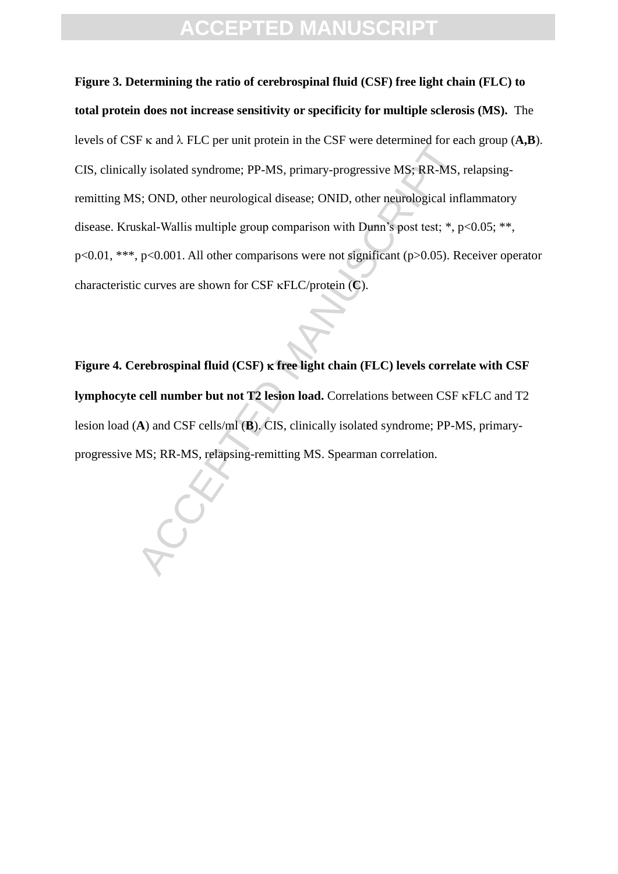IV isolated syndrome; PP-MS, primary-progressive MS; RR-MS,<br>S; OND, other neurological disease; ONID, other neurological inf<br>skal-Wallis multiple group comparison with Dumn's post test; \*, p<br>p<0.001. All other comparisons **Figure 3. Determining the ratio of cerebrospinal fluid (CSF) free light chain (FLC) to total protein does not increase sensitivity or specificity for multiple sclerosis (MS).** The levels of CSF  $\kappa$  and  $\lambda$  FLC per unit protein in the CSF were determined for each group (A,B). CIS, clinically isolated syndrome; PP-MS, primary-progressive MS; RR-MS, relapsingremitting MS; OND, other neurological disease; ONID, other neurological inflammatory disease. Kruskal-Wallis multiple group comparison with Dunn's post test; \*, p<0.05; \*\*, p<0.01, \*\*\*, p<0.001. All other comparisons were not significant (p>0.05). Receiver operator characteristic curves are shown for CSF  $\kappa$ FLC/protein (**C**).

**Figure 4. Cerebrospinal fluid (CSF) free light chain (FLC) levels correlate with CSF lymphocyte cell number but not T2 lesion load.** Correlations between CSF  $\kappa$ FLC and T2 lesion load (**A**) and CSF cells/ml (**B**). CIS, clinically isolated syndrome; PP-MS, primaryprogressive MS; RR-MS, relapsing-remitting MS. Spearman correlation.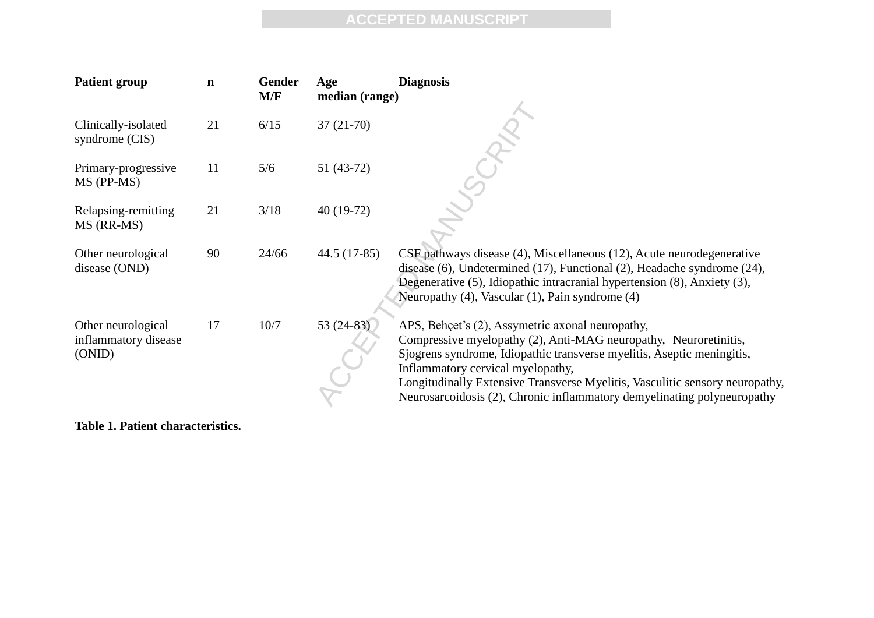| <b>Patient group</b>                                 | $\mathbf n$ | Gender<br>M/F | Age<br>median (range) | <b>Diagnosis</b>                                                                                                                                                                                                                                                                                                                                                                               |
|------------------------------------------------------|-------------|---------------|-----------------------|------------------------------------------------------------------------------------------------------------------------------------------------------------------------------------------------------------------------------------------------------------------------------------------------------------------------------------------------------------------------------------------------|
| Clinically-isolated<br>syndrome (CIS)                | 21          | 6/15          | $37(21-70)$           |                                                                                                                                                                                                                                                                                                                                                                                                |
| Primary-progressive<br>MS (PP-MS)                    | 11          | 5/6           | $51(43-72)$           |                                                                                                                                                                                                                                                                                                                                                                                                |
| Relapsing-remitting<br>MS (RR-MS)                    | 21          | 3/18          | 40 (19-72)            |                                                                                                                                                                                                                                                                                                                                                                                                |
| Other neurological<br>disease (OND)                  | 90          | 24/66         | $44.5(17-85)$         | CSF pathways disease (4), Miscellaneous (12), Acute neurodegenerative<br>disease (6), Undetermined (17), Functional (2), Headache syndrome (24),<br>Degenerative (5), Idiopathic intracranial hypertension (8), Anxiety (3),<br>Neuropathy (4), Vascular (1), Pain syndrome (4)                                                                                                                |
| Other neurological<br>inflammatory disease<br>(ONID) | 17          | 10/7          | 53 (24-83)            | APS, Behçet's (2), Assymetric axonal neuropathy,<br>Compressive myelopathy (2), Anti-MAG neuropathy, Neuroretinitis,<br>Sjogrens syndrome, Idiopathic transverse myelitis, Aseptic meningitis,<br>Inflammatory cervical myelopathy,<br>Longitudinally Extensive Transverse Myelitis, Vasculitic sensory neuropathy,<br>Neurosarcoidosis (2), Chronic inflammatory demyelinating polyneuropathy |

**Table 1. Patient characteristics.**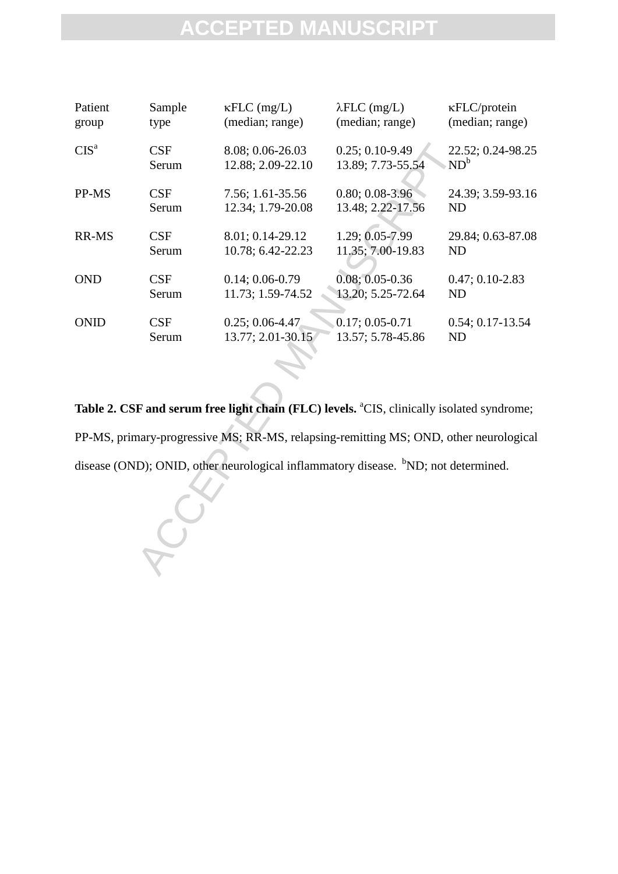| Patient                                                                                               | Sample     | $\kappa FLC$ (mg/L) | $\lambda FLC$ (mg/L) | <b>KFLC/protein</b> |  |  |  |  |
|-------------------------------------------------------------------------------------------------------|------------|---------------------|----------------------|---------------------|--|--|--|--|
| group                                                                                                 | type       | (median; range)     | (median; range)      | (median; range)     |  |  |  |  |
| CIS <sup>a</sup>                                                                                      | <b>CSF</b> | 8.08; 0.06-26.03    | $0.25; 0.10 - 9.49$  | 22.52; 0.24-98.25   |  |  |  |  |
|                                                                                                       | Serum      | 12.88; 2.09-22.10   | 13.89; 7.73-55.54    | $ND^b$              |  |  |  |  |
| PP-MS                                                                                                 | <b>CSF</b> | 7.56; 1.61-35.56    | $0.80; 0.08-3.96$    | 24.39; 3.59-93.16   |  |  |  |  |
|                                                                                                       | Serum      | 12.34; 1.79-20.08   | 13.48; 2.22-17.56    | <b>ND</b>           |  |  |  |  |
| RR-MS                                                                                                 | <b>CSF</b> | 8.01; 0.14-29.12    | 1.29; 0.05-7.99      | 29.84; 0.63-87.08   |  |  |  |  |
|                                                                                                       | Serum      | 10.78; 6.42-22.23   | 11.35; 7.00-19.83    | <b>ND</b>           |  |  |  |  |
| <b>OND</b>                                                                                            | <b>CSF</b> | $0.14; 0.06 - 0.79$ | $0.08; 0.05 - 0.36$  | $0.47; 0.10 - 2.83$ |  |  |  |  |
|                                                                                                       | Serum      | 11.73; 1.59-74.52   | 13.20; 5.25-72.64    | <b>ND</b>           |  |  |  |  |
| <b>ONID</b>                                                                                           | <b>CSF</b> | $0.25; 0.06 - 4.47$ | $0.17; 0.05 - 0.71$  | $0.54; 0.17-13.54$  |  |  |  |  |
|                                                                                                       | Serum      | 13.77; 2.01-30.15   | 13.57; 5.78-45.86    | <b>ND</b>           |  |  |  |  |
| Table 2. CSF and serum free light chain (FLC) levels. <sup>a</sup> CIS, clinically isolated syndrome; |            |                     |                      |                     |  |  |  |  |
| PP-MS, primary-progressive MS; RR-MS, relapsing-remitting MS; OND, other neurological                 |            |                     |                      |                     |  |  |  |  |
| disease (OND); ONID, other neurological inflammatory disease. <sup>b</sup> ND; not determined.        |            |                     |                      |                     |  |  |  |  |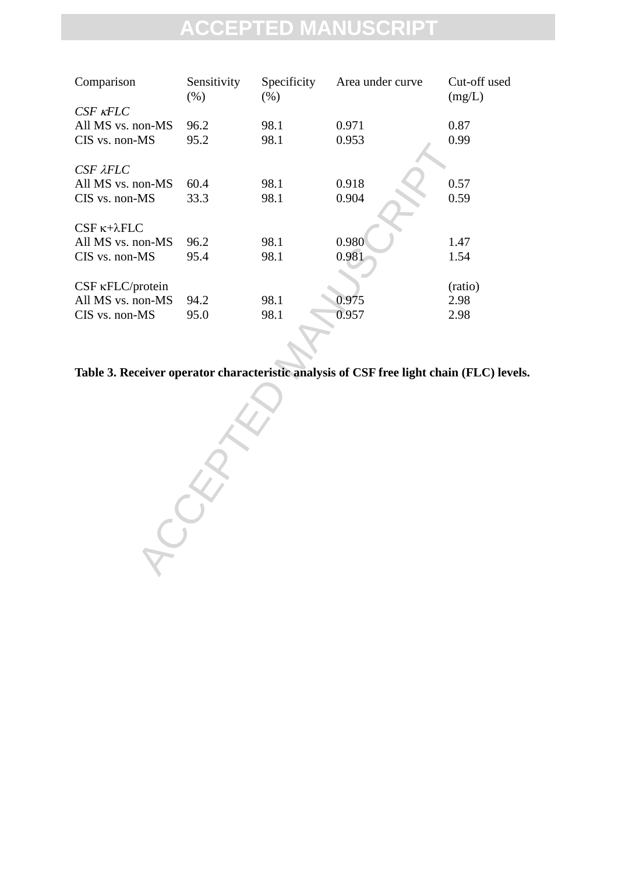| Comparison                 | Sensitivity<br>$(\% )$ | Specificity<br>(% ) | Area under curve | Cut-off used<br>(mg/L) |
|----------------------------|------------------------|---------------------|------------------|------------------------|
| $CSF$ $\kappa FLC$         |                        |                     |                  |                        |
| All MS vs. non-MS          | 96.2                   | 98.1                | 0.971            | 0.87                   |
| $CIS$ vs. non- $MS$        | 95.2                   | 98.1                | 0.953            | 0.99                   |
| CSF <sub>AFLC</sub>        |                        |                     |                  |                        |
| All MS vs. non-MS          | 60.4                   | 98.1                | 0.918            | 0.57                   |
| $CIS$ vs. non- $MS$        | 33.3                   | 98.1                | 0.904            | 0.59                   |
| $CSF \kappa + \lambda FLC$ |                        |                     |                  |                        |
| All MS vs. non-MS          | 96.2                   | 98.1                | 0.980            | 1.47                   |
| $CIS$ vs. non- $MS$        | 95.4                   | 98.1                | 0.981            | 1.54                   |
| $CSF$ $\kappa$ FLC/protein |                        |                     |                  | (ratio)                |
| All MS vs. non-MS          | 94.2                   | 98.1                | 0.975            | 2.98                   |
| $CIS$ vs. non- $MS$        | 95.0                   | 98.1                | 0.957            | 2.98                   |
|                            |                        |                     |                  |                        |

**Table 3. Receiver operator characteristic analysis of CSF free light chain (FLC) levels.** 

RECEPTED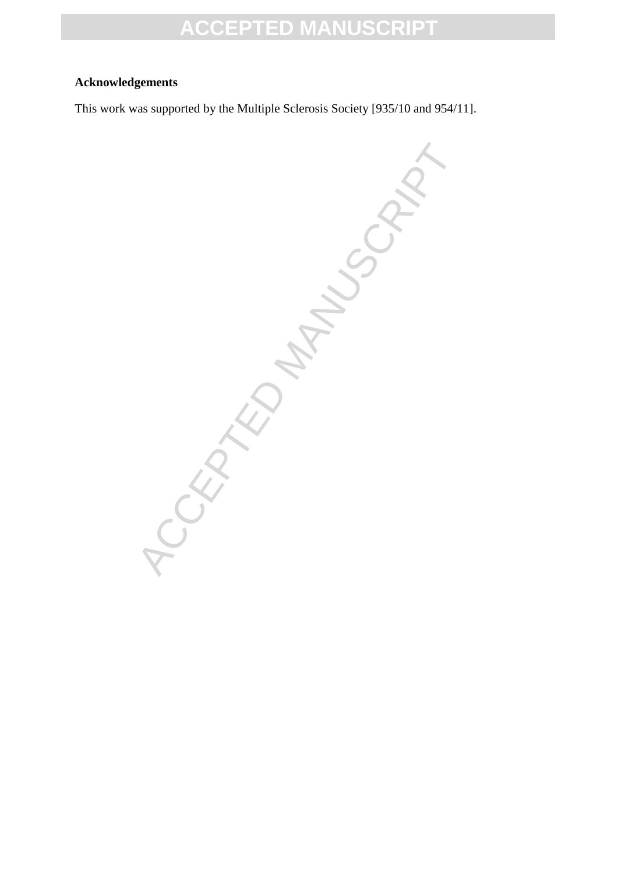#### **Acknowledgements**

This work was supported by the Multiple Sclerosis Society [935/10 and 954/11].

ACCEPTED MANUSCRIPT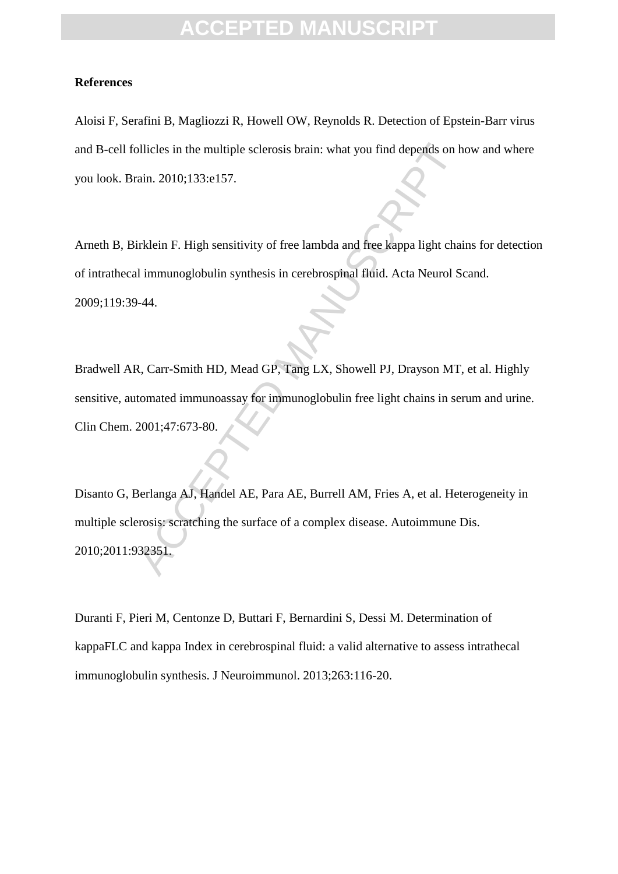#### **References**

Aloisi F, Serafini B, Magliozzi R, Howell OW, Reynolds R. Detection of Epstein-Barr virus and B-cell follicles in the multiple sclerosis brain: what you find depends on how and where you look. Brain. 2010;133:e157.

Arneth B, Birklein F. High sensitivity of free lambda and free kappa light chains for detection of intrathecal immunoglobulin synthesis in cerebrospinal fluid. Acta Neurol Scand. 2009;119:39-44.

Bradwell AR, Carr-Smith HD, Mead GP, Tang LX, Showell PJ, Drayson MT, et al. Highly sensitive, automated immunoassay for immunoglobulin free light chains in serum and urine. Clin Chem. 2001;47:673-80.

bllicles in the multiple sclerosis brain: what you find depends on h<br>
ania. 2010;133:e157.<br>
irklein F. High sensitivity of free lambda and free kappa light chain<br>
il immunoglobulin synthesis in cerebrospinal fluid. Acta Ne Disanto G, Berlanga AJ, Handel AE, Para AE, Burrell AM, Fries A, et al. Heterogeneity in multiple sclerosis: scratching the surface of a complex disease. Autoimmune Dis. 2010;2011:932351.

Duranti F, Pieri M, Centonze D, Buttari F, Bernardini S, Dessi M. Determination of kappaFLC and kappa Index in cerebrospinal fluid: a valid alternative to assess intrathecal immunoglobulin synthesis. J Neuroimmunol. 2013;263:116-20.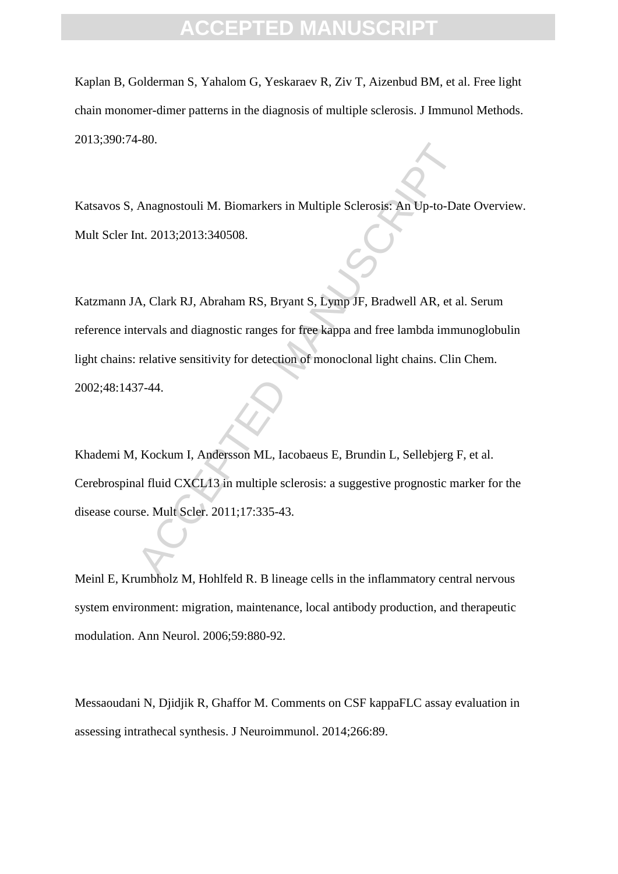Kaplan B, Golderman S, Yahalom G, Yeskaraev R, Ziv T, Aizenbud BM, et al. Free light chain monomer-dimer patterns in the diagnosis of multiple sclerosis. J Immunol Methods. 2013;390:74-80.

Katsavos S, Anagnostouli M. Biomarkers in Multiple Sclerosis: An Up-to-Date Overview. Mult Scler Int. 2013;2013:340508.

Anagnostouli M. Biomarkers in Multiple Sclerosis: An Up-to-Dat<br>nt. 2013;2013:340508.<br>A, Clark RJ, Abraham RS, Bryant S, Lymp JF, Bradwell AR, et al<br>tervals and diagnostic ranges for free kappa and free lambda imm<br>relative Katzmann JA, Clark RJ, Abraham RS, Bryant S, Lymp JF, Bradwell AR, et al. Serum reference intervals and diagnostic ranges for free kappa and free lambda immunoglobulin light chains: relative sensitivity for detection of monoclonal light chains. Clin Chem. 2002;48:1437-44.

Khademi M, Kockum I, Andersson ML, Iacobaeus E, Brundin L, Sellebjerg F, et al. Cerebrospinal fluid CXCL13 in multiple sclerosis: a suggestive prognostic marker for the disease course. Mult Scler. 2011;17:335-43.

Meinl E, Krumbholz M, Hohlfeld R. B lineage cells in the inflammatory central nervous system environment: migration, maintenance, local antibody production, and therapeutic modulation. Ann Neurol. 2006;59:880-92.

Messaoudani N, Djidjik R, Ghaffor M. Comments on CSF kappaFLC assay evaluation in assessing intrathecal synthesis. J Neuroimmunol. 2014;266:89.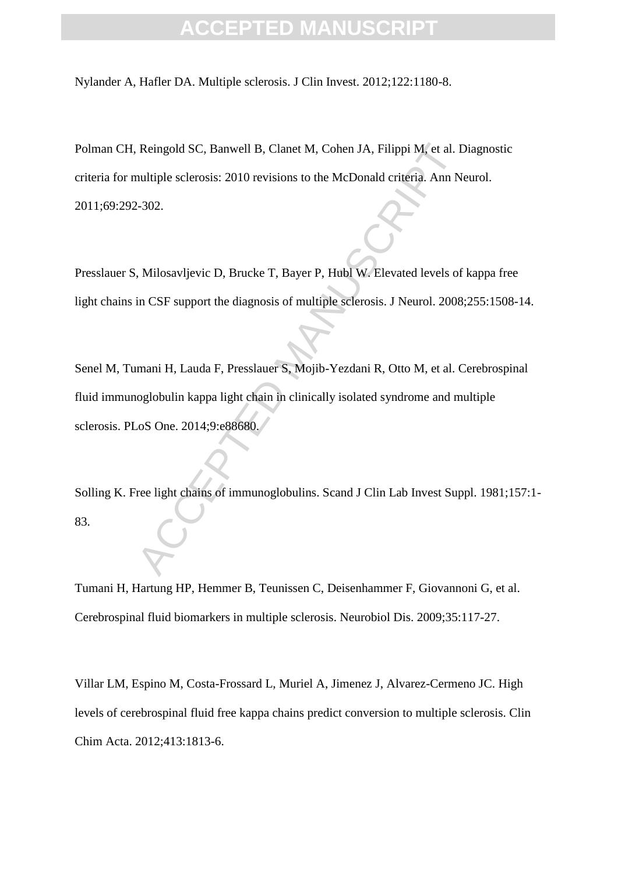Nylander A, Hafler DA. Multiple sclerosis. J Clin Invest. 2012;122:1180-8.

Reingold SC, Banwell B, Clanet M, Cohen JA, Filippi M, et al. I<br>nultiple sclerosis: 2010 revisions to the McDonald criteria. Ann N<br>2-302.<br>Nilosavljevic D, Brucke T, Bayer P, Hubl W. Elevated levels of<br>in CSF support the di Polman CH, Reingold SC, Banwell B, Clanet M, Cohen JA, Filippi M, et al. Diagnostic criteria for multiple sclerosis: 2010 revisions to the McDonald criteria. Ann Neurol. 2011;69:292-302.

Presslauer S, Milosavljevic D, Brucke T, Bayer P, Hubl W. Elevated levels of kappa free light chains in CSF support the diagnosis of multiple sclerosis. J Neurol. 2008;255:1508-14.

Senel M, Tumani H, Lauda F, Presslauer S, Mojib-Yezdani R, Otto M, et al. Cerebrospinal fluid immunoglobulin kappa light chain in clinically isolated syndrome and multiple sclerosis. PLoS One. 2014;9:e88680.

Solling K. Free light chains of immunoglobulins. Scand J Clin Lab Invest Suppl. 1981;157:1- 83.

Tumani H, Hartung HP, Hemmer B, Teunissen C, Deisenhammer F, Giovannoni G, et al. Cerebrospinal fluid biomarkers in multiple sclerosis. Neurobiol Dis. 2009;35:117-27.

Villar LM, Espino M, Costa-Frossard L, Muriel A, Jimenez J, Alvarez-Cermeno JC. High levels of cerebrospinal fluid free kappa chains predict conversion to multiple sclerosis. Clin Chim Acta. 2012;413:1813-6.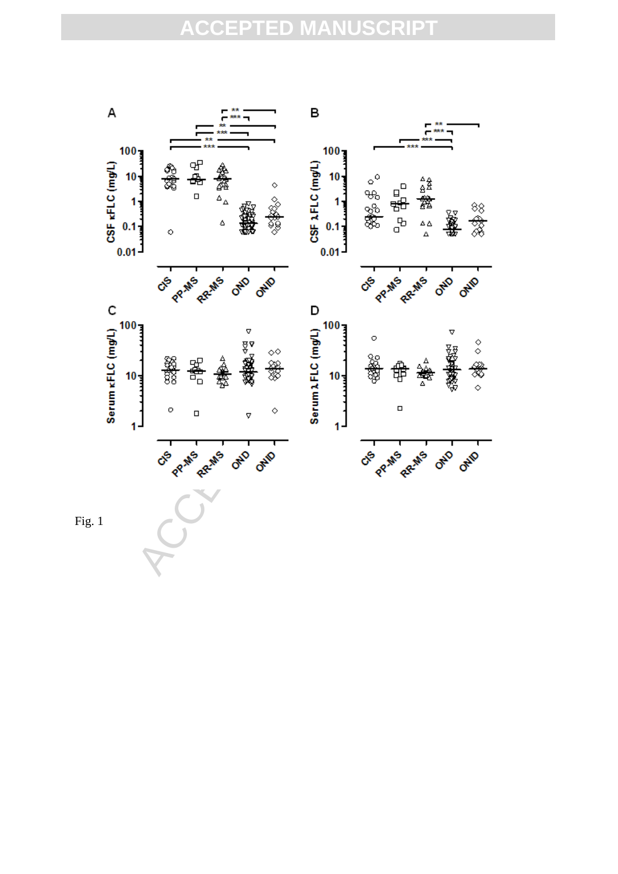

Fig. 1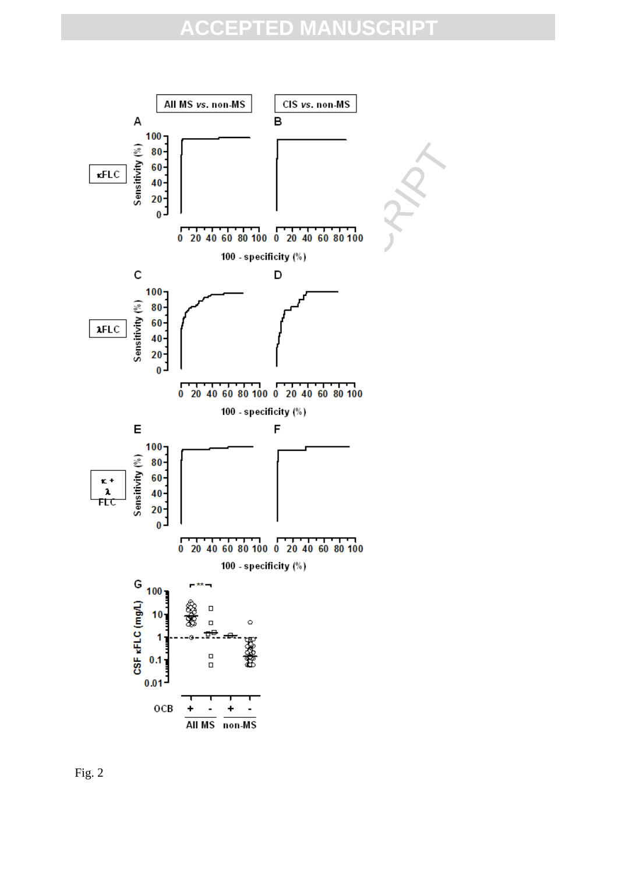

Fig. 2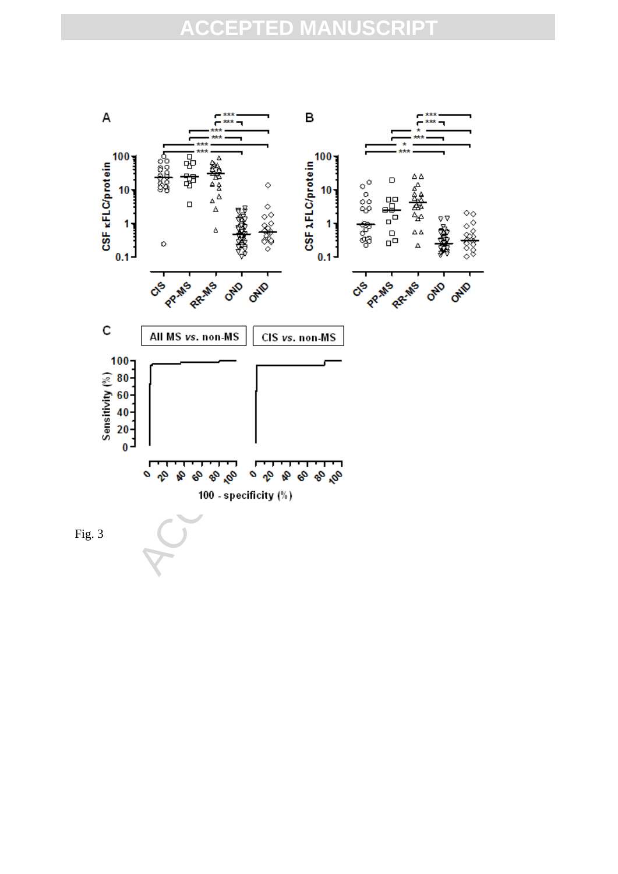